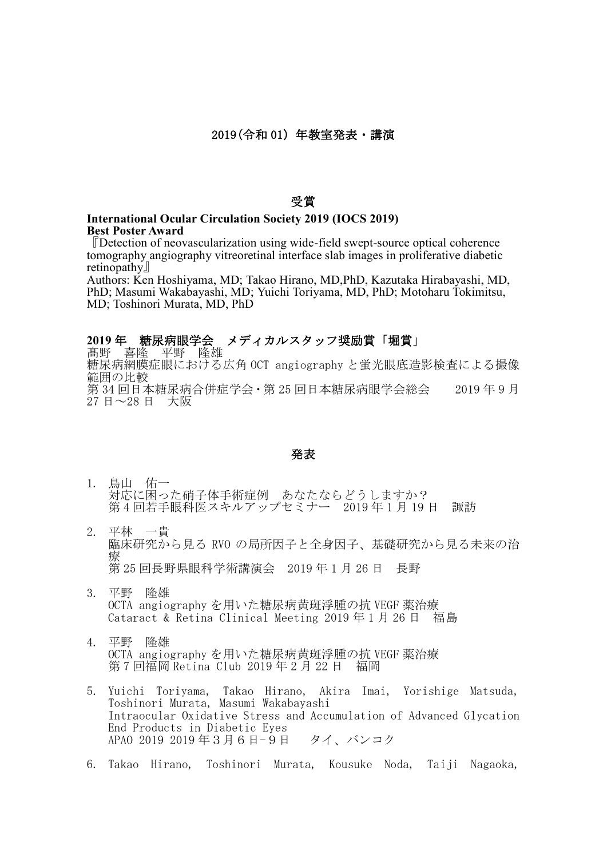## 受賞

## **International Ocular Circulation Society 2019 (IOCS 2019) Best Poster Award**

『Detection of neovascularization using wide-field swept-source optical coherence tomography angiography vitreoretinal interface slab images in proliferative diabetic retinopathy』

Authors: Ken Hoshiyama, MD; Takao Hirano, MD,PhD, Kazutaka Hirabayashi, MD, PhD; Masumi Wakabayashi, MD; Yuichi Toriyama, MD, PhD; Motoharu Tokimitsu, MD; Toshinori Murata, MD, PhD

## **2019** 年 糖尿病眼学会 メディカルスタッフ奨励賞「堀賞」

髙野 喜隆 平野 隆雄 糖尿病網膜症眼における広角 OCT angiography と蛍光眼底造影検査による撮像 範囲の比較 第 34 回日本糖尿病合併症学会·第 25 回日本糖尿病眼学会総会 2019 年 9 月 27 日~28 日 大阪

## 発表

- 1. 鳥山 佑一 対応に困った硝子体手術症例 あなたならどうしますか? 第4回若手眼科医スキルアップセミナー 2019年1月19日 諏訪
- 2. 平林 一貴 臨床研究から見る RVO の局所因子と全身因子、基礎研究から見る未来の治 療 第 25 回長野県眼科学術講演会 2019 年 1 月 26 日 長野
- 3. 平野 隆雄 OCTA angiography を用いた糖尿病黄斑浮腫の抗 VEGF 薬治療 Cataract & Retina Clinical Meeting 2019 年 1 月 26 日 福島
- 4. 平野 隆雄 OCTA angiography を用いた糖尿病黄斑浮腫の抗 VEGF 薬治療 第 7 回福岡 Retina Club 2019 年 2 月 22 日 福岡
- 5. Yuichi Toriyama, Takao Hirano, Akira Imai, Yorishige Matsuda, Toshinori Murata, Masumi Wakabayashi Intraocular Oxidative Stress and Accumulation of Advanced Glycation End Products in Diabetic Eyes APAO 2019 2019 年3月6日-9日 タイ、バンコク
- 6. Takao Hirano, Toshinori Murata, Kousuke Noda, Taiji Nagaoka,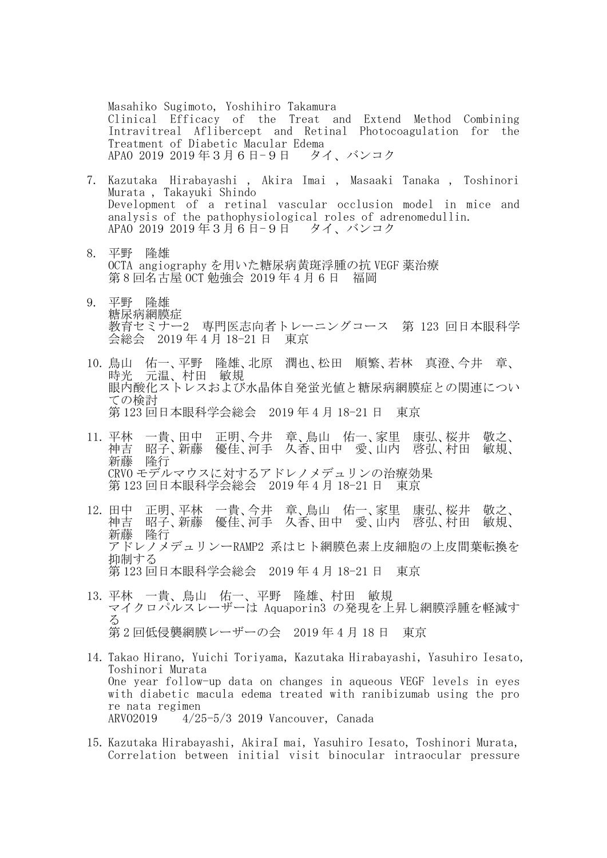Masahiko Sugimoto, Yoshihiro Takamura Clinical Efficacy of the Treat and Extend Method Combining Intravitreal Aflibercept and Retinal Photocoagulation for the Treatment of Diabetic Macular Edema APAO 2019 2019 年3月6日-9日 タイ、バンコク

- 7. Kazutaka Hirabayashi , Akira Imai , Masaaki Tanaka , Toshinori Murata , Takayuki Shindo Development of a retinal vascular occlusion model in mice and analysis of the pathophysiological roles of adrenomedullin. APAO 2019 2019 年3月6日-9日 タイ、バンコク
- 8. 平野 隆雄 OCTA angiography を用いた糖尿病黄斑浮腫の抗 VEGF 薬治療 第 8 回名古屋 OCT 勉強会 2019 年 4 月 6 日 福岡
- 9. 平野 隆雄 糖尿病網膜症 教育セミナー2 専門医志向者トレーニングコース 第 123 回日本眼科学 会総会 2019 年 4 月 18-21 日 東京
- 10. 鳥山 佑一、平野 隆雄、北原 潤也、松田 順繁、若林 真澄、今井 章、 時光 元温、村田 敏規 眼内酸化ストレスおよび水晶体自発蛍光値と糖尿病網膜症との関連につい ての検討 第 123 回日本眼科学会総会 2019 年 4 月 18-21 日 東京
- 11. 平林 一貴、田中 正明、今井 章、鳥山 佑一、家里 康弘、桜井 敬之、 神吉 昭子、新藤 優佳、河手 久香、田中 愛、山内 啓弘、村田 敏規、 新藤 隆行 CRVO モデルマウスに対するアドレノメデュリンの治療効果 第 123 回日本眼科学会総会 2019 年 4 月 18-21 日 東京
- 12. 田中 正明、平林 一貴、今井 章、鳥山 佑一、家里 康弘、桜井 敬之、 神吉 昭子、新藤 優佳、河手 久香、田中 愛、山内 啓弘、村田 敏規、 新藤 隆行 アドレノメデュリンーRAMP2 系はヒト網膜色素上皮細胞の上皮間葉転換を 抑制する 第 123 回日本眼科学会総会 2019 年 4 月 18-21 日 東京
- 13. 平林 一貴、鳥山 佑一、平野 隆雄、村田 敏規 マイクロパルスレーザーは Aquaporin3 の発現を上昇し網膜浮腫を軽減す る 第 2 回低侵襲網膜レーザーの会 2019 年 4 月 18 日 東京
- 14. Takao Hirano, Yuichi Toriyama, Kazutaka Hirabayashi, Yasuhiro Iesato, Toshinori Murata One year follow-up data on changes in aqueous VEGF levels in eyes with diabetic macula edema treated with ranibizumab using the pro re nata regimen ARVO2019 4/25-5/3 2019 Vancouver, Canada
- 15. Kazutaka Hirabayashi, AkiraI mai, Yasuhiro Iesato, Toshinori Murata, Correlation between initial visit binocular intraocular pressure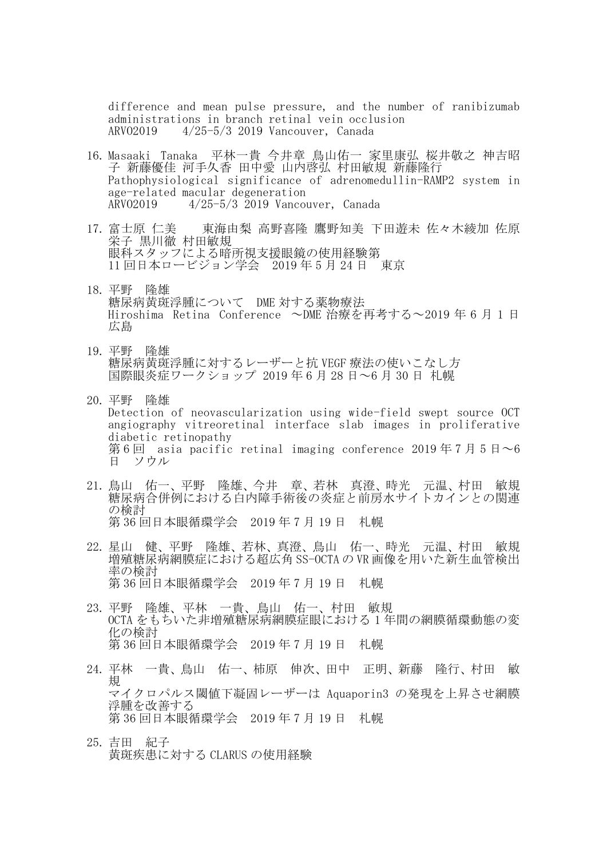difference and mean pulse pressure, and the number of ranibizumab administrations in branch retinal vein occlusion ARVO2019 4/25-5/3 2019 Vancouver, Canada

- 16. Masaaki Tanaka 平林一貴 今井章 鳥山佑一 家里康弘 桜井敬之 神吉昭 子 新藤優佳 河手久香 田中愛 山内啓弘 村田敏規 新藤隆行 Pathophysiological significance of adrenomedullin-RAMP2 system in age-related macular degeneration ARVO2019 4/25-5/3 2019 Vancouver, Canada
- 17. 富士原 仁美 東海由梨 高野喜隆 鷹野知美 下田遊未 佐々木綾加 佐原 栄子 黒川徹 村田敏規 眼科スタッフによる暗所視支援眼鏡の使用経験第 11 回日本ロービジョン学会 2019 年 5 月 24 日 東京
- 18. 平野 隆雄 糖尿病黄斑浮腫について DME 対する薬物療法 Hiroshima Retina Conference ~DME 治療を再考する~2019 年 6 月 1 日 広島
- 19. 平野 隆雄 糖尿病黄斑浮腫に対するレーザーと抗 VEGF 療法の使いこなし方 国際眼炎症ワークショップ 2019 年 6 月 28 日~6 月 30 日 札幌
- 20. 平野 隆雄 Detection of neovascularization using wide-field swept source OCT angiography vitreoretinal interface slab images in proliferative diabetic retinopathy 第6回 asia pacific retinal imaging conference 2019年7月5日~6 日 ソウル
- 21. 鳥山 佑一、平野 隆雄、今井 章、若林 真澄、時光 元温、村田 敏規 糖尿病合併例における白内障手術後の炎症と前房水サイトカインとの関連 の検討 第 36 回日本眼循環学会 2019 年 7 月 19 日 札幌
- 22. 星山 健、平野 隆雄、若林、真澄、鳥山 佑一、時光 元温、村田 敏規 増殖糖尿病網膜症における超広角 SS-OCTA の VR 画像を用いた新生血管検出 率の検討 第 36 回日本眼循環学会 2019 年 7 月 19 日 札幌
- 23. 平野 隆雄、平林 一貴、鳥山 佑一、村田 敏規 OCTA をもちいた非増殖糖尿病網膜症眼における 1 年間の網膜循環動態の変 化の検討 第 36 回日本眼循環学会 2019 年 7 月 19 日 札幌
- 24. 平林 一貴、鳥山 佑一、柿原 伸次、田中 正明、新藤 隆行、村田 敏 規 マイクロパルス閾値下凝固レーザーは Aquaporin3 の発現を上昇させ網膜 浮腫を改善する 第 36 回日本眼循環学会 2019 年 7 月 19 日 札幌
- 25. 吉田 紀子 黄斑疾患に対する CLARUS の使用経験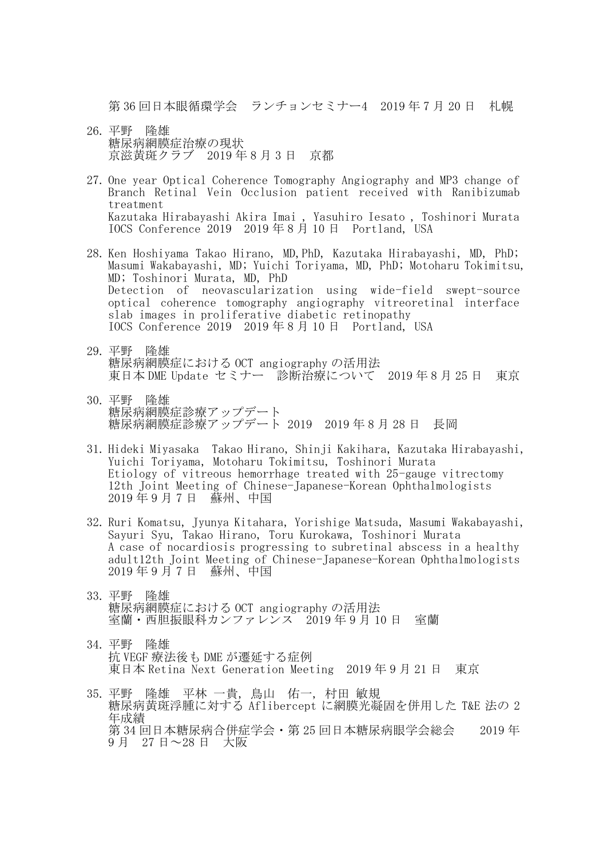第 36 回日本眼循環学会 ランチョンセミナー4 2019 年 7 月 20 日 札幌

- 26. 平野 隆雄 糖尿病網膜症治療の現状 京滋黄斑クラブ 2019 年 8 月 3 日 京都
- 27. One year Optical Coherence Tomography Angiography and MP3 change of Branch Retinal Vein Occlusion patient received with Ranibizumab treatment Kazutaka Hirabayashi Akira Imai , Yasuhiro Iesato , Toshinori Murata IOCS Conference 2019 2019 年 8 月 10 日 Portland, USA
- 28. Ken Hoshiyama Takao Hirano, MD,PhD, Kazutaka Hirabayashi, MD, PhD; Masumi Wakabayashi, MD; Yuichi Toriyama, MD, PhD; Motoharu Tokimitsu, MD; Toshinori Murata, MD, PhD Detection of neovascularization using wide-field swept-source optical coherence tomography angiography vitreoretinal interface slab images in proliferative diabetic retinopathy IOCS Conference 2019 2019 年 8 月 10 日 Portland, USA
- 29. 平野 隆雄 糖尿病網膜症における OCT angiography の活用法 東日本 DME Update セミナー 診断治療について 2019 年 8 月 25 日 東京
- 30. 平野 隆雄 糖尿病網膜症診療アップデート 糖尿病網膜症診療アップデート 2019 2019 年 8 月 28 日 長岡
- 31. Hideki Miyasaka Takao Hirano, Shinji Kakihara, Kazutaka Hirabayashi, Yuichi Toriyama, Motoharu Tokimitsu, Toshinori Murata Etiology of vitreous hemorrhage treated with 25-gauge vitrectomy 12th Joint Meeting of Chinese-Japanese-Korean Ophthalmologists 2019 年 9 月 7 日 蘇州、中国
- 32. Ruri Komatsu, Jyunya Kitahara, Yorishige Matsuda, Masumi Wakabayashi, Sayuri Syu, Takao Hirano, Toru Kurokawa, Toshinori Murata A case of nocardiosis progressing to subretinal abscess in a healthy adult12th Joint Meeting of Chinese-Japanese-Korean Ophthalmologists 2019 年 9 月 7 日 蘇州、中国
- 33. 平野 隆雄 糖尿病網膜症における OCT angiography の活用法 室蘭・西胆振眼科カンファレンス 2019 年 9 月 10 日 室蘭
- 34. 平野 隆雄 抗 VEGF 療法後も DME が遷延する症例 東日本 Retina Next Generation Meeting 2019 年 9 月 21 日 東京
- 35. 平野 隆雄 平林 一貴, 鳥山 佑一, 村田 敏規 糖尿病黄斑浮腫に対する Aflibercept に網膜光凝固を併用した T&E 法の 2 年成績 第 34 回日本糖尿病合併症学会・第 25 回日本糖尿病眼学会総会 2019 年 9 月 27 日~28 日 大阪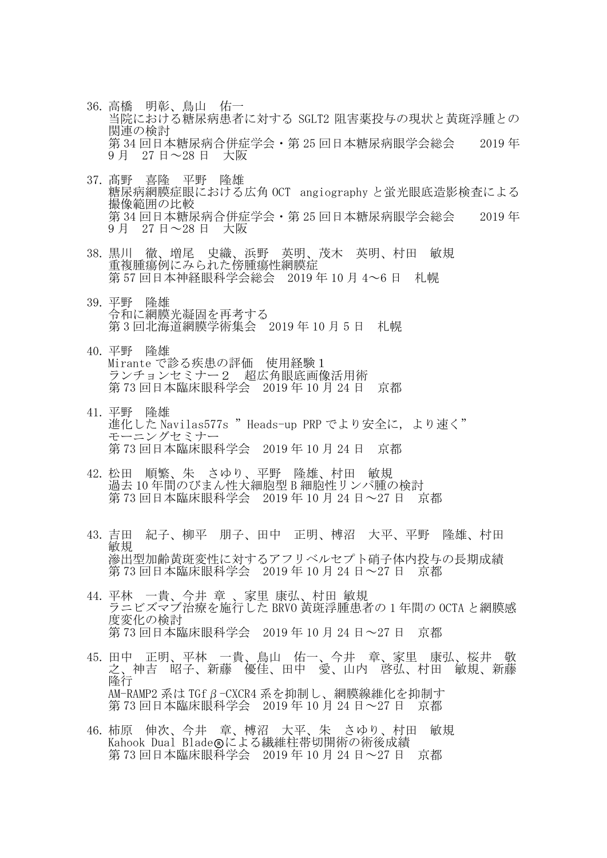- 36. 高橋 明彰、鳥山 佑一 当院における糖尿病患者に対する SGLT2 阻害薬投与の現状と黄斑浮腫との 関連の検討 第 34 回日本糖尿病合併症学会・第 25 回日本糖尿病眼学会総会 - 2019 年 9 月 27 日~28 日 大阪
- 37. 髙野 喜隆 平野 隆雄 糖尿病網膜症眼における広角 OCT angiography と蛍光眼底造影検査による 撮像範囲の比較 第 34 回日本糖尿病合併症学会・第 25 回日本糖尿病眼学会総会 2019 年 9 月 27 日~28 日 大阪
- 38. 黒川 徹、増尾 史織、浜野 英明、茂木 英明、村田 敏規 面複腫瘍例にみられた傍腫瘍性網膜症 第 57 回日本神経眼科学会総会 2019 年 10 月 4~6 日 札幌
- 39. 平野 隆雄 令和に網膜光凝固を再考する 第 3 回北海道網膜学術集会 2019 年 10 月 5 日 札幌
- 40. 平野 隆雄 Mirante で診る疾患の評価 使用経験1 ランチョンセミナー2 超広角眼底画像活用術 第 73 回日本臨床眼科学会 2019 年 10 月 24 日 京都
- 41. 平野 隆雄 進化した Navilas577s "Heads-up PRP でより安全に、より速く" モーニングセミナー 第 73 回日本臨床眼科学会 2019 年 10 月 24 日 京都
- 42. 松田 順繁、朱 さゆり、平野 隆雄、村田 敏規 過去 10 年間のびまん性大細胞型 B 細胞性リンパ腫の検討 第 73 回日本臨床眼科学会 2019 年 10 月 24 日~27 日 京都
- 43. 吉田 紀子、柳平 朋子、田中 正明、榑沼 大平、平野 隆雄、村田 敏規 滲出型加齢黄斑変性に対するアフリベルセプト硝子体内投与の長期成績 第 73 回日本臨床眼科学会 2019 年 10 月 24 日~27 日 京都
- 44. 平林 一貴、今井 章 、家里 康弘、村田 敏規 ラニビズマブ治療を施行した BRVO 黄斑浮腫患者の 1 年間の OCTA と網膜感 度変化の検討 第 73 回日本臨床眼科学会 2019 年 10 月 24 日~27 日 京都
- 45. 田中 正明、平林 一貴、鳥山 佑一、今井 章、家里 康弘、桜井 敬 之、神吉 昭子、新藤 優佳、田中 愛、山内 啓弘、村田 敏規、新藤 隆行 AM-RAMP2 系は TGfβ-CXCR4 系を抑制し、網膜線維化を抑制す 第 73 回日本臨床眼科学会 2019 年 10 月 24 日~27 日 京都
- 46. 柿原 伸次、今井 章、榑沼 大平、朱 さゆり、村田 敏規 Kahook Dual Blade®による繊維柱帯切開術の術後成績 第 73 回日本臨床眼科学会 2019 年 10 月 24 日~27 日 京都